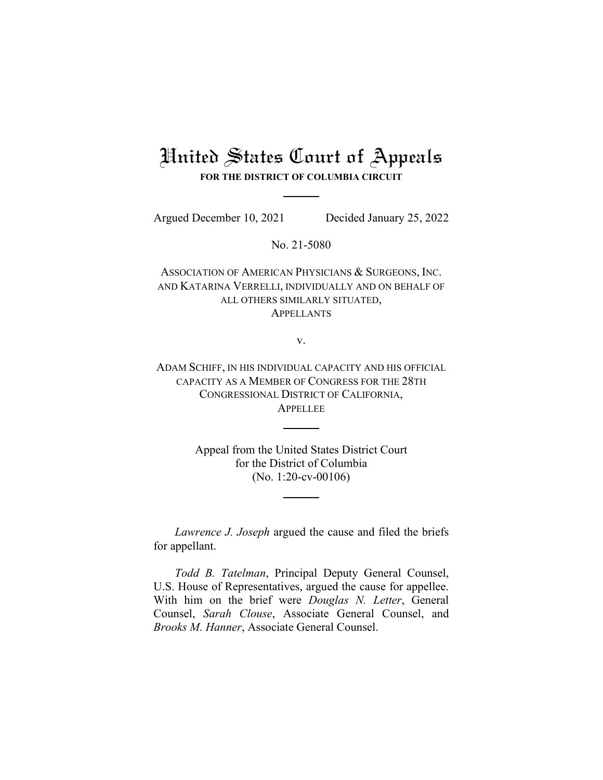# United States Court of Appeals

**FOR THE DISTRICT OF COLUMBIA CIRCUIT**

Argued December 10, 2021 Decided January 25, 2022

No. 21-5080

ASSOCIATION OF AMERICAN PHYSICIANS & SURGEONS, INC. AND KATARINA VERRELLI, INDIVIDUALLY AND ON BEHALF OF ALL OTHERS SIMILARLY SITUATED, APPELLANTS

v.

ADAM SCHIFF, IN HIS INDIVIDUAL CAPACITY AND HIS OFFICIAL CAPACITY AS A MEMBER OF CONGRESS FOR THE 28TH CONGRESSIONAL DISTRICT OF CALIFORNIA, **APPELLEE** 

> Appeal from the United States District Court for the District of Columbia (No. 1:20-cv-00106)

*Lawrence J. Joseph* argued the cause and filed the briefs for appellant.

*Todd B. Tatelman*, Principal Deputy General Counsel, U.S. House of Representatives, argued the cause for appellee. With him on the brief were *Douglas N. Letter*, General Counsel, *Sarah Clouse*, Associate General Counsel, and *Brooks M. Hanner*, Associate General Counsel.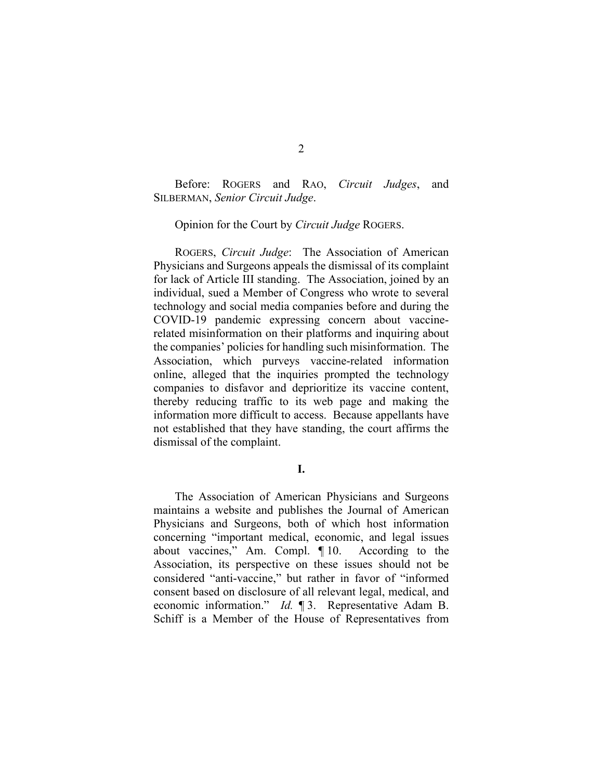Before: ROGERS and RAO, *Circuit Judges*, and SILBERMAN, *Senior Circuit Judge*.

Opinion for the Court by *Circuit Judge* ROGERS.

ROGERS, *Circuit Judge*: The Association of American Physicians and Surgeons appeals the dismissal of its complaint for lack of Article III standing. The Association, joined by an individual, sued a Member of Congress who wrote to several technology and social media companies before and during the COVID-19 pandemic expressing concern about vaccinerelated misinformation on their platforms and inquiring about the companies' policies for handling such misinformation. The Association, which purveys vaccine-related information online, alleged that the inquiries prompted the technology companies to disfavor and deprioritize its vaccine content, thereby reducing traffic to its web page and making the information more difficult to access. Because appellants have not established that they have standing, the court affirms the dismissal of the complaint.

**I.**

The Association of American Physicians and Surgeons maintains a website and publishes the Journal of American Physicians and Surgeons, both of which host information concerning "important medical, economic, and legal issues about vaccines," Am. Compl. ¶ 10. According to the Association, its perspective on these issues should not be considered "anti-vaccine," but rather in favor of "informed consent based on disclosure of all relevant legal, medical, and economic information." *Id.* ¶ 3. Representative Adam B. Schiff is a Member of the House of Representatives from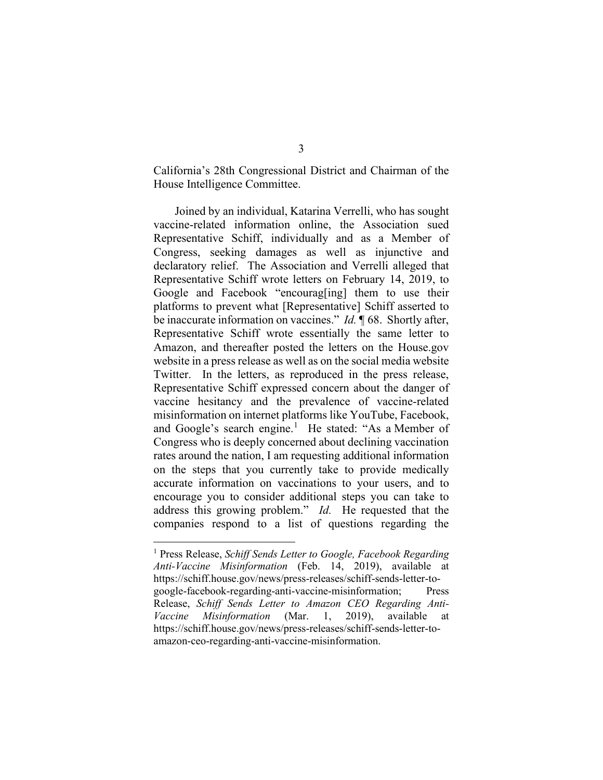California's 28th Congressional District and Chairman of the House Intelligence Committee.

Joined by an individual, Katarina Verrelli, who has sought vaccine-related information online, the Association sued Representative Schiff, individually and as a Member of Congress, seeking damages as well as injunctive and declaratory relief. The Association and Verrelli alleged that Representative Schiff wrote letters on February 14, 2019, to Google and Facebook "encourag[ing] them to use their platforms to prevent what [Representative] Schiff asserted to be inaccurate information on vaccines." *Id.* ¶ 68. Shortly after, Representative Schiff wrote essentially the same letter to Amazon, and thereafter posted the letters on the House.gov website in a press release as well as on the social media website Twitter. In the letters, as reproduced in the press release, Representative Schiff expressed concern about the danger of vaccine hesitancy and the prevalence of vaccine-related misinformation on internet platforms like YouTube, Facebook, and Google's search engine.<sup>[1](#page-2-0)</sup> He stated: "As a Member of Congress who is deeply concerned about declining vaccination rates around the nation, I am requesting additional information on the steps that you currently take to provide medically accurate information on vaccinations to your users, and to encourage you to consider additional steps you can take to address this growing problem." *Id.* He requested that the companies respond to a list of questions regarding the

<span id="page-2-0"></span><sup>1</sup> Press Release, *Schiff Sends Letter to Google, Facebook Regarding Anti-Vaccine Misinformation* (Feb. 14, 2019), available at https://schiff.house.gov/news/press-releases/schiff-sends-letter-togoogle-facebook-regarding-anti-vaccine-misinformation; Press Release, *Schiff Sends Letter to Amazon CEO Regarding Anti-Vaccine Misinformation* (Mar. 1, 2019), available at https://schiff.house.gov/news/press-releases/schiff-sends-letter-toamazon-ceo-regarding-anti-vaccine-misinformation.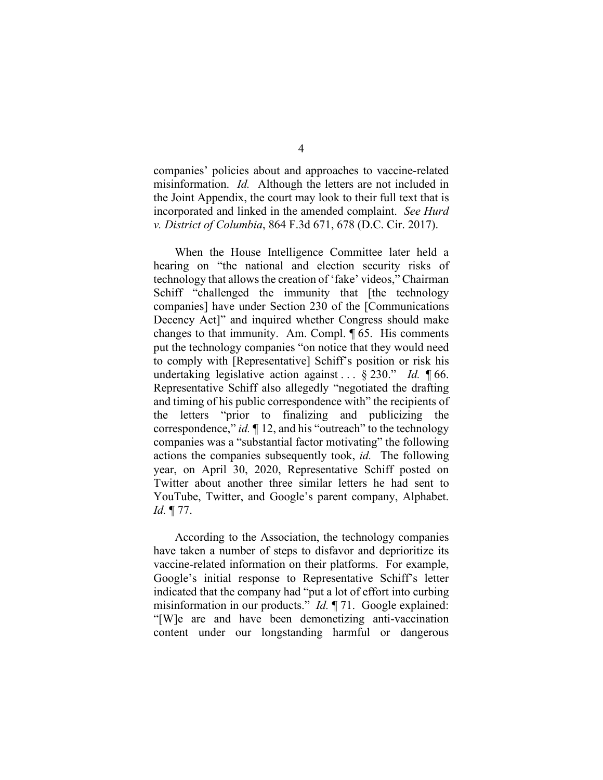companies' policies about and approaches to vaccine-related misinformation. *Id.* Although the letters are not included in the Joint Appendix, the court may look to their full text that is incorporated and linked in the amended complaint. *See Hurd v. District of Columbia*, 864 F.3d 671, 678 (D.C. Cir. 2017).

When the House Intelligence Committee later held a hearing on "the national and election security risks of technology that allows the creation of 'fake' videos," Chairman Schiff "challenged the immunity that [the technology companies] have under Section 230 of the [Communications Decency Act]" and inquired whether Congress should make changes to that immunity. Am. Compl. ¶ 65. His comments put the technology companies "on notice that they would need to comply with [Representative] Schiff's position or risk his undertaking legislative action against . . . § 230." *Id.* ¶ 66. Representative Schiff also allegedly "negotiated the drafting and timing of his public correspondence with" the recipients of the letters "prior to finalizing and publicizing the correspondence," *id.* ¶ 12, and his "outreach" to the technology companies was a "substantial factor motivating" the following actions the companies subsequently took, *id.* The following year, on April 30, 2020, Representative Schiff posted on Twitter about another three similar letters he had sent to YouTube, Twitter, and Google's parent company, Alphabet. *Id.* ¶ 77.

According to the Association, the technology companies have taken a number of steps to disfavor and deprioritize its vaccine-related information on their platforms. For example, Google's initial response to Representative Schiff's letter indicated that the company had "put a lot of effort into curbing misinformation in our products." *Id.* ¶ 71. Google explained: "[W]e are and have been demonetizing anti-vaccination content under our longstanding harmful or dangerous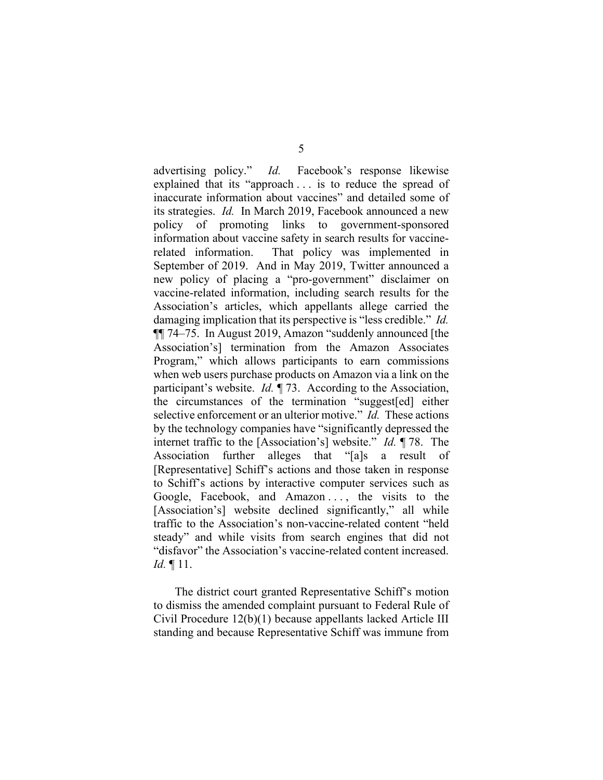advertising policy." *Id.* Facebook's response likewise explained that its "approach . . . is to reduce the spread of inaccurate information about vaccines" and detailed some of its strategies. *Id.* In March 2019, Facebook announced a new policy of promoting links to government-sponsored information about vaccine safety in search results for vaccinerelated information. That policy was implemented in September of 2019. And in May 2019, Twitter announced a new policy of placing a "pro-government" disclaimer on vaccine-related information, including search results for the Association's articles, which appellants allege carried the damaging implication that its perspective is "less credible." *Id.* ¶¶ 74–75. In August 2019, Amazon "suddenly announced [the Association's] termination from the Amazon Associates Program," which allows participants to earn commissions when web users purchase products on Amazon via a link on the participant's website. *Id.* ¶ 73. According to the Association, the circumstances of the termination "suggest[ed] either selective enforcement or an ulterior motive." *Id.* These actions by the technology companies have "significantly depressed the internet traffic to the [Association's] website." *Id.* ¶ 78. The Association further alleges that "[a]s a result of [Representative] Schiff's actions and those taken in response to Schiff's actions by interactive computer services such as Google, Facebook, and Amazon ..., the visits to the [Association's] website declined significantly," all while traffic to the Association's non-vaccine-related content "held steady" and while visits from search engines that did not "disfavor" the Association's vaccine-related content increased. *Id.* ¶ 11.

The district court granted Representative Schiff's motion to dismiss the amended complaint pursuant to Federal Rule of Civil Procedure 12(b)(1) because appellants lacked Article III standing and because Representative Schiff was immune from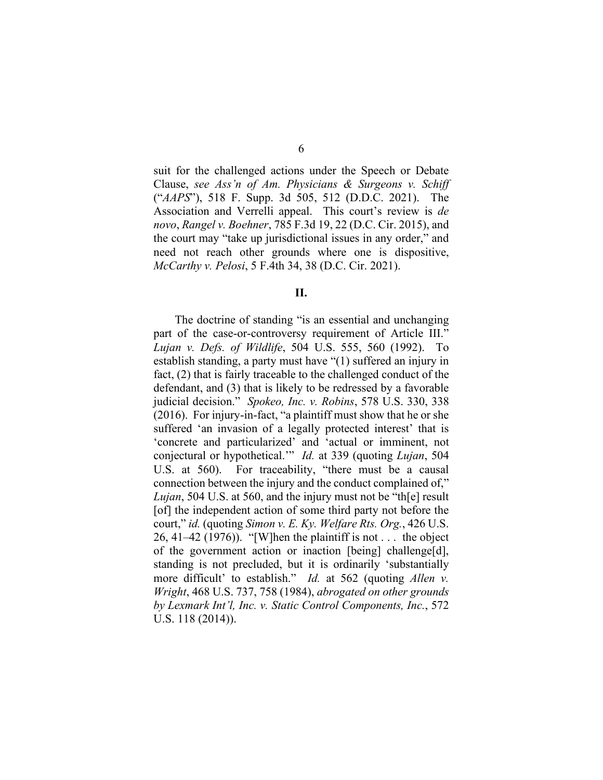suit for the challenged actions under the Speech or Debate Clause, *see Ass'n of Am. Physicians & Surgeons v. Schiff*  ("*AAPS*"), 518 F. Supp. 3d 505, 512 (D.D.C. 2021). The Association and Verrelli appeal. This court's review is *de novo*, *Rangel v. Boehner*, 785 F.3d 19, 22 (D.C. Cir. 2015), and the court may "take up jurisdictional issues in any order," and need not reach other grounds where one is dispositive, *McCarthy v. Pelosi*, 5 F.4th 34, 38 (D.C. Cir. 2021).

**II.**

The doctrine of standing "is an essential and unchanging part of the case-or-controversy requirement of Article III." *Lujan v. Defs. of Wildlife*, 504 U.S. 555, 560 (1992). To establish standing, a party must have "(1) suffered an injury in fact, (2) that is fairly traceable to the challenged conduct of the defendant, and (3) that is likely to be redressed by a favorable judicial decision." *Spokeo, Inc. v. Robins*, 578 U.S. 330, 338 (2016). For injury-in-fact, "a plaintiff must show that he or she suffered 'an invasion of a legally protected interest' that is 'concrete and particularized' and 'actual or imminent, not conjectural or hypothetical.'" *Id.* at 339 (quoting *Lujan*, 504 U.S. at 560). For traceability, "there must be a causal connection between the injury and the conduct complained of," *Lujan*, 504 U.S. at 560, and the injury must not be "th[e] result [of] the independent action of some third party not before the court," *id.* (quoting *Simon v. E. Ky. Welfare Rts. Org.*, 426 U.S. 26, 41–42 (1976)). "[W]hen the plaintiff is not  $\dots$  the object of the government action or inaction [being] challenge[d], standing is not precluded, but it is ordinarily 'substantially more difficult' to establish." *Id.* at 562 (quoting *Allen v. Wright*, 468 U.S. 737, 758 (1984), *abrogated on other grounds by Lexmark Int'l, Inc. v. Static Control Components, Inc.*, 572 U.S. 118 (2014)).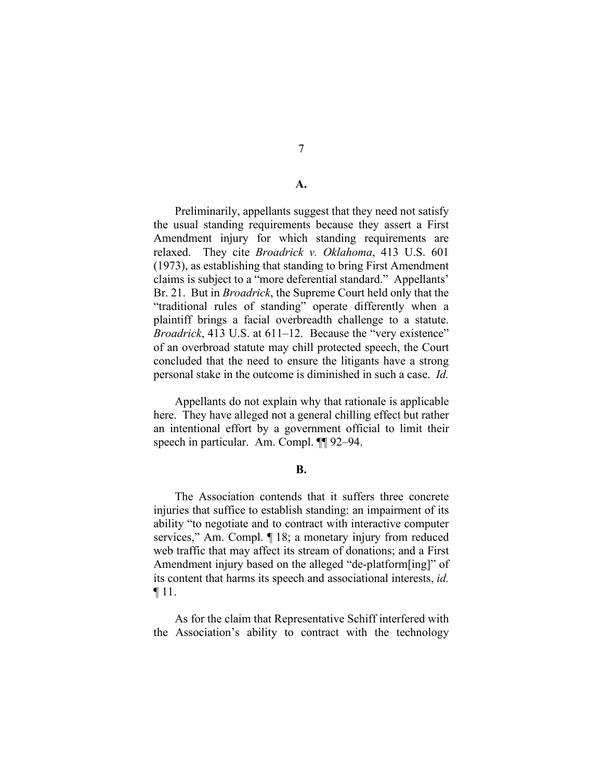## **A.**

Preliminarily, appellants suggest that they need not satisfy the usual standing requirements because they assert a First Amendment injury for which standing requirements are relaxed. They cite *Broadrick v. Oklahoma*, 413 U.S. 601 (1973), as establishing that standing to bring First Amendment claims is subject to a "more deferential standard." Appellants' Br. 21. But in *Broadrick*, the Supreme Court held only that the "traditional rules of standing" operate differently when a plaintiff brings a facial overbreadth challenge to a statute. *Broadrick*, 413 U.S. at 611–12. Because the "very existence" of an overbroad statute may chill protected speech, the Court concluded that the need to ensure the litigants have a strong personal stake in the outcome is diminished in such a case. *Id.*

Appellants do not explain why that rationale is applicable here. They have alleged not a general chilling effect but rather an intentional effort by a government official to limit their speech in particular. Am. Compl. ¶¶ 92–94.

#### **B.**

The Association contends that it suffers three concrete injuries that suffice to establish standing: an impairment of its ability "to negotiate and to contract with interactive computer services," Am. Compl. ¶ 18; a monetary injury from reduced web traffic that may affect its stream of donations; and a First Amendment injury based on the alleged "de-platform[ing]" of its content that harms its speech and associational interests, *id.* ¶ 11.

As for the claim that Representative Schiff interfered with the Association's ability to contract with the technology

7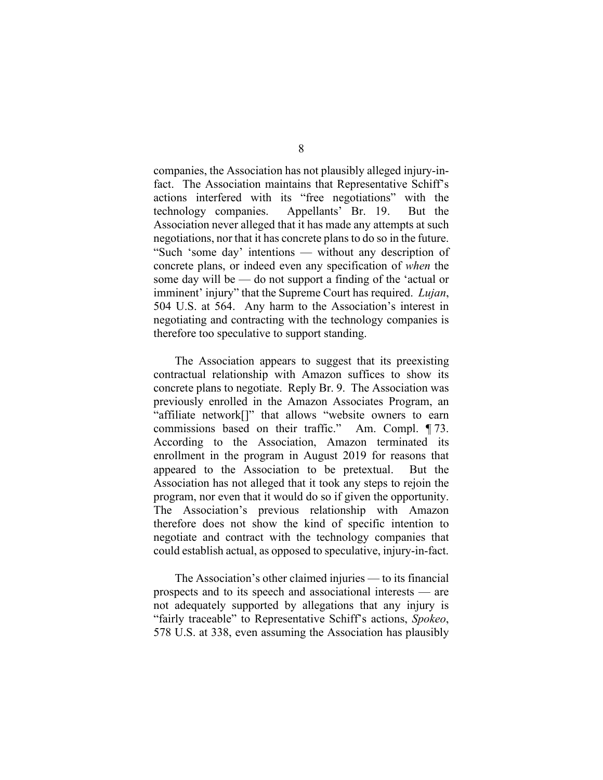companies, the Association has not plausibly alleged injury-infact. The Association maintains that Representative Schiff's actions interfered with its "free negotiations" with the technology companies. Appellants' Br. 19. But the Association never alleged that it has made any attempts at such negotiations, nor that it has concrete plans to do so in the future. "Such 'some day' intentions — without any description of concrete plans, or indeed even any specification of *when* the some day will be — do not support a finding of the 'actual or imminent' injury" that the Supreme Court has required. *Lujan*, 504 U.S. at 564. Any harm to the Association's interest in negotiating and contracting with the technology companies is therefore too speculative to support standing.

The Association appears to suggest that its preexisting contractual relationship with Amazon suffices to show its concrete plans to negotiate. Reply Br. 9. The Association was previously enrolled in the Amazon Associates Program, an "affiliate network[]" that allows "website owners to earn commissions based on their traffic." Am. Compl. ¶ 73. According to the Association, Amazon terminated its enrollment in the program in August 2019 for reasons that appeared to the Association to be pretextual. But the Association has not alleged that it took any steps to rejoin the program, nor even that it would do so if given the opportunity. The Association's previous relationship with Amazon therefore does not show the kind of specific intention to negotiate and contract with the technology companies that could establish actual, as opposed to speculative, injury-in-fact.

The Association's other claimed injuries — to its financial prospects and to its speech and associational interests — are not adequately supported by allegations that any injury is "fairly traceable" to Representative Schiff's actions, *Spokeo*, 578 U.S. at 338, even assuming the Association has plausibly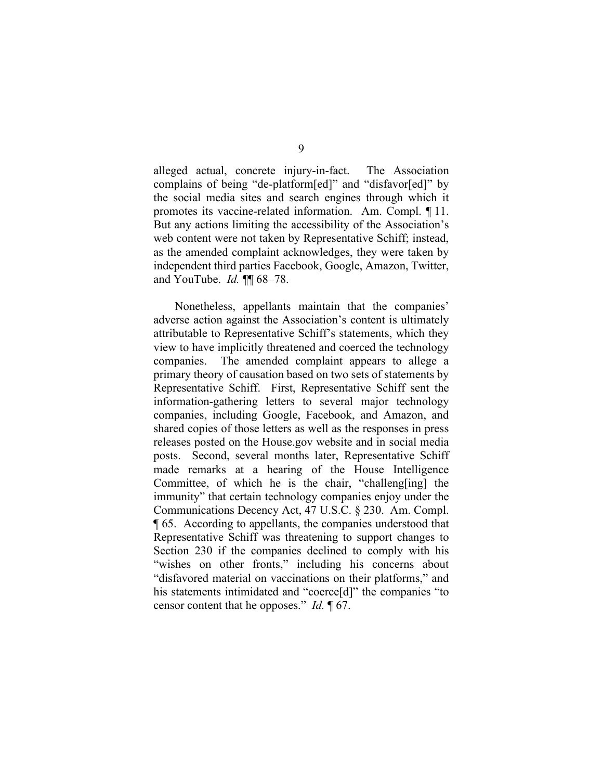alleged actual, concrete injury-in-fact. The Association complains of being "de-platform[ed]" and "disfavor[ed]" by the social media sites and search engines through which it promotes its vaccine-related information. Am. Compl. ¶ 11. But any actions limiting the accessibility of the Association's web content were not taken by Representative Schiff; instead, as the amended complaint acknowledges, they were taken by independent third parties Facebook, Google, Amazon, Twitter, and YouTube. *Id.* ¶¶ 68–78.

Nonetheless, appellants maintain that the companies' adverse action against the Association's content is ultimately attributable to Representative Schiff's statements, which they view to have implicitly threatened and coerced the technology companies. The amended complaint appears to allege a primary theory of causation based on two sets of statements by Representative Schiff. First, Representative Schiff sent the information-gathering letters to several major technology companies, including Google, Facebook, and Amazon, and shared copies of those letters as well as the responses in press releases posted on the House.gov website and in social media posts. Second, several months later, Representative Schiff made remarks at a hearing of the House Intelligence Committee, of which he is the chair, "challeng[ing] the immunity" that certain technology companies enjoy under the Communications Decency Act, 47 U.S.C. § 230. Am. Compl. ¶ 65. According to appellants, the companies understood that Representative Schiff was threatening to support changes to Section 230 if the companies declined to comply with his "wishes on other fronts," including his concerns about "disfavored material on vaccinations on their platforms," and his statements intimidated and "coerce[d]" the companies "to censor content that he opposes." *Id.* ¶ 67.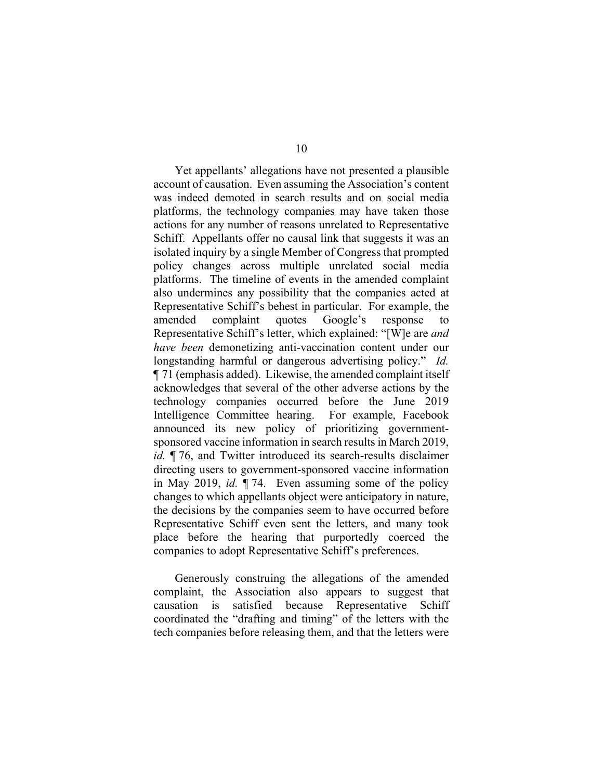Yet appellants' allegations have not presented a plausible account of causation. Even assuming the Association's content was indeed demoted in search results and on social media platforms, the technology companies may have taken those actions for any number of reasons unrelated to Representative Schiff. Appellants offer no causal link that suggests it was an isolated inquiry by a single Member of Congress that prompted policy changes across multiple unrelated social media platforms. The timeline of events in the amended complaint also undermines any possibility that the companies acted at Representative Schiff's behest in particular. For example, the amended complaint quotes Google's response to Representative Schiff's letter, which explained: "[W]e are *and have been* demonetizing anti-vaccination content under our longstanding harmful or dangerous advertising policy." *Id.* ¶ 71 (emphasis added). Likewise, the amended complaint itself acknowledges that several of the other adverse actions by the technology companies occurred before the June 2019 Intelligence Committee hearing. For example, Facebook announced its new policy of prioritizing governmentsponsored vaccine information in search results in March 2019, *id.* ¶ 76, and Twitter introduced its search-results disclaimer directing users to government-sponsored vaccine information in May 2019, *id.* ¶ 74. Even assuming some of the policy changes to which appellants object were anticipatory in nature, the decisions by the companies seem to have occurred before Representative Schiff even sent the letters, and many took place before the hearing that purportedly coerced the companies to adopt Representative Schiff's preferences.

Generously construing the allegations of the amended complaint, the Association also appears to suggest that causation is satisfied because Representative Schiff coordinated the "drafting and timing" of the letters with the tech companies before releasing them, and that the letters were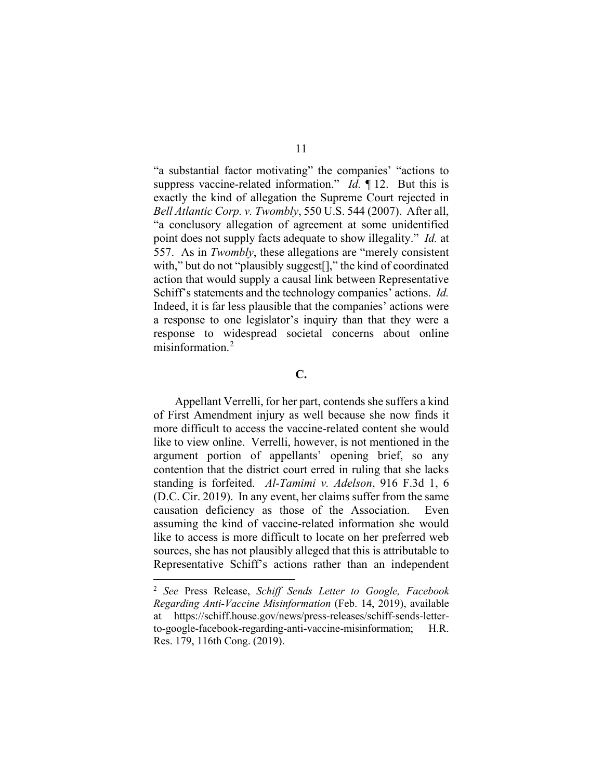"a substantial factor motivating" the companies' "actions to suppress vaccine-related information." *Id.* ¶ 12. But this is exactly the kind of allegation the Supreme Court rejected in *Bell Atlantic Corp. v. Twombly*, 550 U.S. 544 (2007). After all, "a conclusory allegation of agreement at some unidentified point does not supply facts adequate to show illegality." *Id.* at 557. As in *Twombly*, these allegations are "merely consistent with," but do not "plausibly suggest[]," the kind of coordinated action that would supply a causal link between Representative Schiff's statements and the technology companies' actions. *Id.* Indeed, it is far less plausible that the companies' actions were a response to one legislator's inquiry than that they were a response to widespread societal concerns about online misinformation.[2](#page-10-0)

## **C.**

Appellant Verrelli, for her part, contends she suffers a kind of First Amendment injury as well because she now finds it more difficult to access the vaccine-related content she would like to view online. Verrelli, however, is not mentioned in the argument portion of appellants' opening brief, so any contention that the district court erred in ruling that she lacks standing is forfeited. *Al-Tamimi v. Adelson*, 916 F.3d 1, 6 (D.C. Cir. 2019). In any event, her claims suffer from the same causation deficiency as those of the Association. Even assuming the kind of vaccine-related information she would like to access is more difficult to locate on her preferred web sources, she has not plausibly alleged that this is attributable to Representative Schiff's actions rather than an independent

<span id="page-10-0"></span><sup>2</sup> *See* Press Release, *Schiff Sends Letter to Google, Facebook Regarding Anti-Vaccine Misinformation* (Feb. 14, 2019), available at https://schiff.house.gov/news/press-releases/schiff-sends-letterto-google-facebook-regarding-anti-vaccine-misinformation; H.R. Res. 179, 116th Cong. (2019).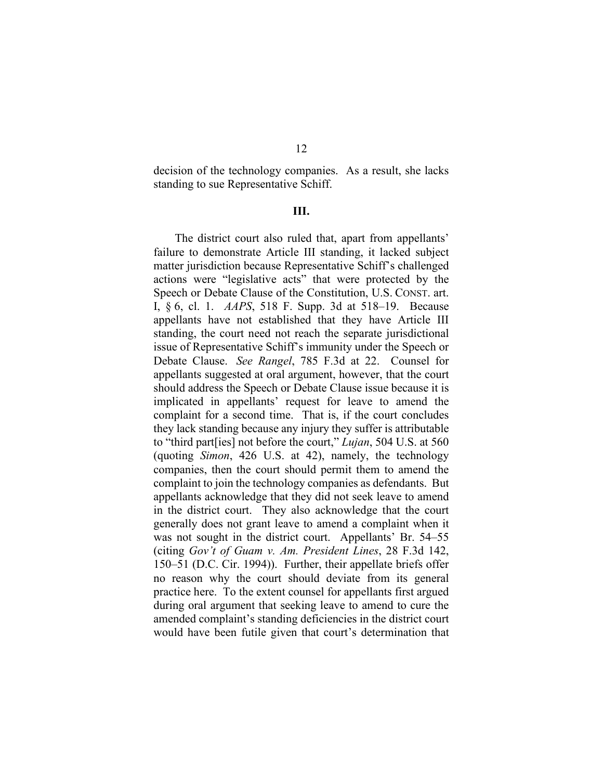decision of the technology companies. As a result, she lacks standing to sue Representative Schiff.

### **III.**

The district court also ruled that, apart from appellants' failure to demonstrate Article III standing, it lacked subject matter jurisdiction because Representative Schiff's challenged actions were "legislative acts" that were protected by the Speech or Debate Clause of the Constitution, U.S. CONST. art. I, § 6, cl. 1. *AAPS*, 518 F. Supp. 3d at 518–19. Because appellants have not established that they have Article III standing, the court need not reach the separate jurisdictional issue of Representative Schiff's immunity under the Speech or Debate Clause. *See Rangel*, 785 F.3d at 22. Counsel for appellants suggested at oral argument, however, that the court should address the Speech or Debate Clause issue because it is implicated in appellants' request for leave to amend the complaint for a second time. That is, if the court concludes they lack standing because any injury they suffer is attributable to "third part[ies] not before the court," *Lujan*, 504 U.S. at 560 (quoting *Simon*, 426 U.S. at 42), namely, the technology companies, then the court should permit them to amend the complaint to join the technology companies as defendants. But appellants acknowledge that they did not seek leave to amend in the district court. They also acknowledge that the court generally does not grant leave to amend a complaint when it was not sought in the district court. Appellants' Br. 54–55 (citing *Gov't of Guam v. Am. President Lines*, 28 F.3d 142, 150–51 (D.C. Cir. 1994)). Further, their appellate briefs offer no reason why the court should deviate from its general practice here. To the extent counsel for appellants first argued during oral argument that seeking leave to amend to cure the amended complaint's standing deficiencies in the district court would have been futile given that court's determination that